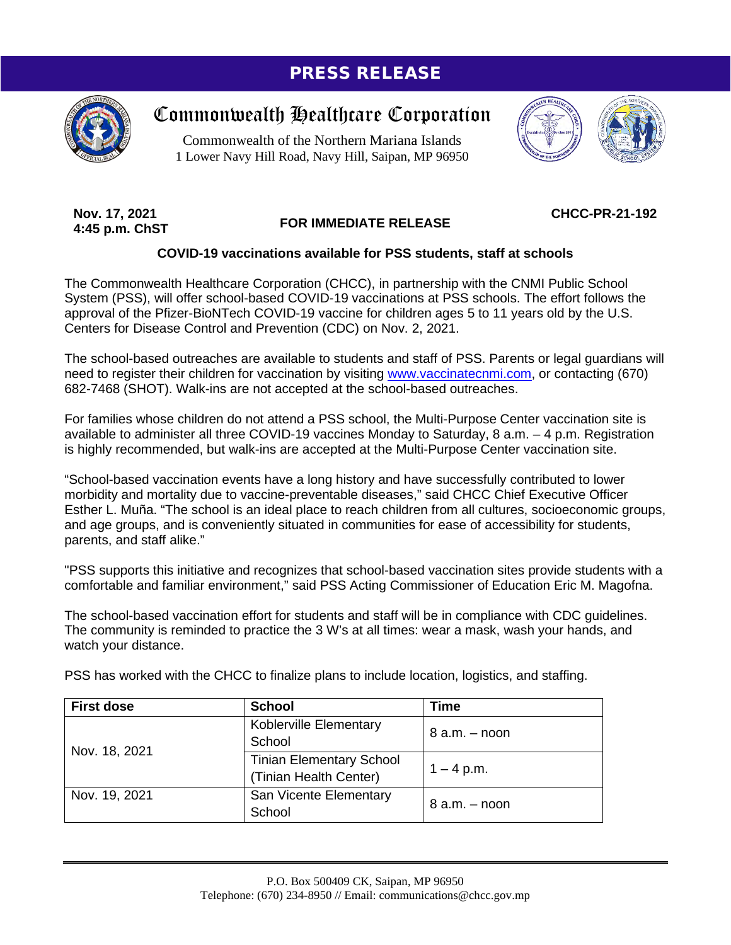## PRESS RELEASE



## Commonwealth Healthcare Corporation

Commonwealth of the Northern Mariana Islands 1 Lower Navy Hill Road, Navy Hill, Saipan, MP 96950



**Nov. 17, 2021 4:45 p.m. ChST**

## **FOR IMMEDIATE RELEASE**

**CHCC-PR-21-192**

## **COVID-19 vaccinations available for PSS students, staff at schools**

The Commonwealth Healthcare Corporation (CHCC), in partnership with the CNMI Public School System (PSS), will offer school-based COVID-19 vaccinations at PSS schools. The effort follows the approval of the Pfizer-BioNTech COVID-19 vaccine for children ages 5 to 11 years old by the U.S. Centers for Disease Control and Prevention (CDC) on Nov. 2, 2021.

The school-based outreaches are available to students and staff of PSS. Parents or legal guardians will need to register their children for vaccination by visiting [www.vaccinatecnmi.com,](http://www.vaccinatecnmi.com/) or contacting (670) 682-7468 (SHOT). Walk-ins are not accepted at the school-based outreaches.

For families whose children do not attend a PSS school, the Multi-Purpose Center vaccination site is available to administer all three COVID-19 vaccines Monday to Saturday, 8 a.m. – 4 p.m. Registration is highly recommended, but walk-ins are accepted at the Multi-Purpose Center vaccination site.

"School-based vaccination events have a long history and have successfully contributed to lower morbidity and mortality due to vaccine-preventable diseases," said CHCC Chief Executive Officer Esther L. Muña. "The school is an ideal place to reach children from all cultures, socioeconomic groups, and age groups, and is conveniently situated in communities for ease of accessibility for students, parents, and staff alike."

"PSS supports this initiative and recognizes that school-based vaccination sites provide students with a comfortable and familiar environment," said PSS Acting Commissioner of Education Eric M. Magofna.

The school-based vaccination effort for students and staff will be in compliance with CDC guidelines. The community is reminded to practice the 3 W's at all times: wear a mask, wash your hands, and watch your distance.

PSS has worked with the CHCC to finalize plans to include location, logistics, and staffing.

| <b>First dose</b> | <b>School</b>                   | <b>Time</b>       |
|-------------------|---------------------------------|-------------------|
| Nov. 18, 2021     | Koblerville Elementary          | $8$ a.m. $-$ noon |
|                   | School                          |                   |
|                   | <b>Tinian Elementary School</b> | $1 - 4$ p.m.      |
|                   | (Tinian Health Center)          |                   |
| Nov. 19, 2021     | San Vicente Elementary          | $8$ a.m. $-$ noon |
|                   | School                          |                   |